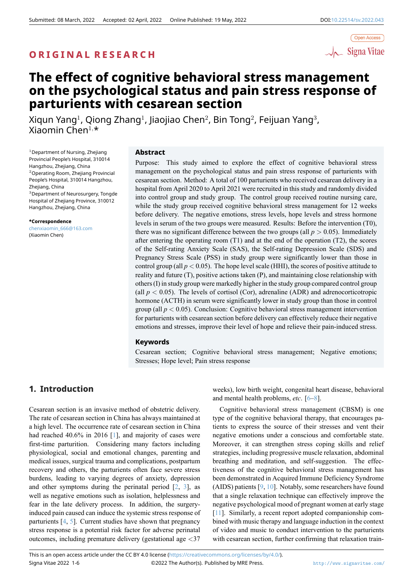

# **The effect of cognitive behavioral stress management on the psychological status and pain stress response of parturients with cesarean section**

Xiqun Yang $^1$ , Qiong Zhang $^1$ , Jiaojiao Chen $^2$ , Bin Tong $^2$ , Feijuan Yang $^3$ , Xiaomin Chen<sup>1</sup>*,*\*

 $1$ Department of Nursing, Zhejiang Provincial People's Hospital, 310014 Hangzhou, Zhejiang, China <sup>2</sup>Operating Room, Zhejiang Provincial People's Hospital, 310014 Hangzhou, Zhejiang, China <sup>3</sup>Department of Neurosurgery, Tongde Hospital of Zhejiang Province, 310012 Hangzhou, Zhejiang, China

**\*Correspondence** chenxiaomin\_666@163.com (Xiaomin Chen)

#### **Abstract**

Purpose: This study aimed to explore the effect of cognitive behavioral stress management on the psychological status and pain stress response of parturients with cesarean section. Method: A total of 100 parturients who received cesarean delivery in a hospital from April 2020 to April 2021 were recruited in this study and randomly divided into control group and study group. The control group received routine nursing care, while the study group received cognitive behavioral stress management for 12 weeks before delivery. The negative emotions, stress levels, hope levels and stress hormone levels in serum of the two groups were measured. Results: Before the intervention (T0), there was no significant difference between the two groups (all  $p > 0.05$ ). Immediately after entering the operating room (T1) and at the end of the operation (T2), the scores of the Self-rating Anxiety Scale (SAS), the Self-rating Depression Scale (SDS) and Pregnancy Stress Scale (PSS) in study group were significantly lower than those in control group (all  $p < 0.05$ ). The hope level scale (HHI), the scores of positive attitude to reality and future (T), positive actions taken (P), and maintaining close relationship with others (I) in study group were markedly higher in the study group compared control group (all  $p < 0.05$ ). The levels of cortisol (Cor), adrenaline (ADR) and adrenocorticotropic hormone (ACTH) in serum were significantly lower in study group than those in control group (all  $p < 0.05$ ). Conclusion: Cognitive behavioral stress management intervention for parturients with cesarean section before delivery can effectively reduce their negative emotions and stresses, improve their level of hope and relieve their pain-induced stress.

### **Keywords**

Cesarean section; Cognitive behavioral stress management; Negative emotions; Stresses; Hope level; Pain stress response

# **1. Introduction**

Cesarean section is an invasive method of obstetric delivery. The rate of cesarean section in China has always maintained at a high level. The occurrence rate of cesarean section in China had reached 40.6% in 2016 [1], and majority of cases were first-time parturition. Considering many factors including physiological, social and emotional changes, parenting and medical issues, surgical trauma and complications, postpartum recovery and others, the part[ur](#page-4-0)ients often face severe stress burdens, leading to varying degrees of anxiety, depression and other symptoms during the perinatal period  $[2, 3]$ , as well as negative emotions such as isolation, helplessness and fear in the late delivery process. In addition, the surgeryinduced pain caused can induce the systemic stress response of parturients  $[4, 5]$ . Current studies have shown that [pre](#page-4-1)[gn](#page-4-2)ancy stress response is a potential risk factor for adverse perinatal outcomes, including premature delivery (gestational age *<*37

weeks), low birth weight, congenital heart disease, behavioral and mental health problems, *etc*. [6–8].

Cognitive behavioral stress management (CBSM) is one type of the cognitive behavioral therapy, that encourages patients to express the source of their stresses and vent their negative emotions under a consc[io](#page-4-5)[us](#page-5-0) and comfortable state. Moreover, it can strengthen stress coping skills and relief strategies, including progressive muscle relaxation, abdominal breathing and meditation, and self-suggestion. The effectiveness of the cognitive behavioral stress management has been demonstrated in Acquired Immune Deficiency Syndrome (AIDS) patients [9, 10]. Notably, some researchers have found that a single relaxation technique can effectively improve the negative psychological mood of pregnant women at early stage [11]. Similarly, a recent report adopted companionship combined with music [th](#page-5-1)[era](#page-5-2)py and language induction in the context of video and music to conduct intervention to the parturients with cesarean section, further confirming that relaxation train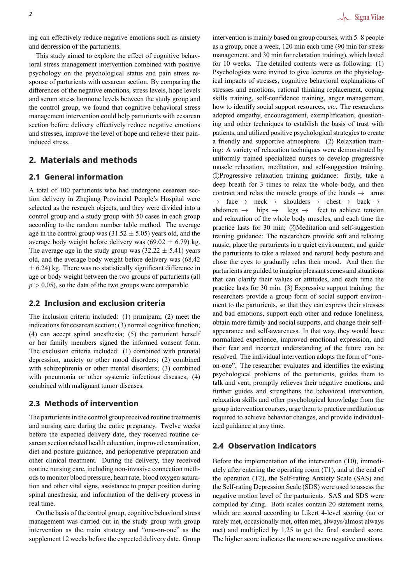ing can effectively reduce negative emotions such as anxiety and depression of the parturients.

This study aimed to explore the effect of cognitive behavioral stress management intervention combined with positive psychology on the psychological status and pain stress response of parturients with cesarean section. By comparing the differences of the negative emotions, stress levels, hope levels and serum stress hormone levels between the study group and the control group, we found that cognitive behavioral stress management intervention could help parturients with cesarean section before delivery effectively reduce negative emotions and stresses, improve the level of hope and relieve their paininduced stress.

# **2. Materials and methods**

# **2.1 General information**

A total of 100 parturients who had undergone cesarean section delivery in Zhejiang Provincial People's Hospital were selected as the research objects, and they were divided into a control group and a study group with 50 cases in each group according to the random number table method. The average age in the control group was (31.52 *±* 5.05) years old, and the average body weight before delivery was (69.02 *±* 6.79) kg. The average age in the study group was  $(32.22 \pm 5.41)$  years old, and the average body weight before delivery was (68.42 *±* 6.24) kg. There was no statistically significant difference in age or body weight between the two groups of parturients (all  $p > 0.05$ , so the data of the two groups were comparable.

# **2.2 Inclusion and exclusion criteria**

The inclusion criteria included: (1) primipara; (2) meet the indications for cesarean section; (3) normal cognitive function; (4) can accept spinal anesthesia; (5) the parturient herself or her family members signed the informed consent form. The exclusion criteria included: (1) combined with prenatal depression, anxiety or other mood disorders; (2) combined with schizophrenia or other mental disorders; (3) combined with pneumonia or other systemic infectious diseases; (4) combined with malignant tumor diseases.

# **2.3 Methods of intervention**

The parturients in the control group received routine treatments and nursing care during the entire pregnancy. Twelve weeks before the expected delivery date, they received routine cesarean section related health education, improved examination, diet and posture guidance, and perioperative preparation and other clinical treatment. During the delivery, they received routine nursing care, including non-invasive connection methods to monitor blood pressure, heart rate, blood oxygen saturation and other vital signs, assistance to proper position during spinal anesthesia, and information of the delivery process in real time.

On the basis of the control group, cognitive behavioral stress management was carried out in the study group with group intervention as the main strategy and "one-on-one" as the supplement 12 weeks before the expected delivery date. Group

intervention is mainly based on group courses, with 5–8 people as a group, once a week, 120 min each time (90 min for stress management, and 30 min for relaxation training), which lasted for 10 weeks. The detailed contents were as following: (1) Psychologists were invited to give lectures on the physiological impacts of stresses, cognitive behavioral explanations of stresses and emotions, rational thinking replacement, coping skills training, self-confidence training, anger management, how to identify social support resources, *etc*. The researchers adopted empathy, encouragement, exemplification, questioning and other techniques to establish the basis of trust with patients, and utilized positive psychological strategies to create a friendly and supportive atmosphere. (2) Relaxation training: A variety of relaxation techniques were demonstrated by uniformly trained specialized nurses to develop progressive muscle relaxation, meditation, and self-suggestion training. *⃝*1 Progressive relaxation training guidance: firstly, take a deep breath for 3 times to relax the whole body, and then contract and relax the muscle groups of the hands *→* arms *→* face *→* neck *→* shoulders *→* chest *→* back *→* legs → feet to achieve tension and relaxation of the whole body muscles, and each time the practice lasts for 30 min; *②*Meditation and self-suggestion training guidance: The researchers provide soft and relaxing music, place the parturients in a quiet environment, and guide the parturients to take a relaxed and natural body posture and close the eyes to gradually relax their mood. And then the parturients are guided to imagine pleasant scenes and situations that can clarify their values or attitudes, and each time the practice lasts for 30 min. (3) Expressive support training: the researchers provide a group form of social support environment to the parturients, so that they can express their stresses and bad emotions, support each other and reduce loneliness, obtain more family and social supports, and change their selfappearance and self-awareness. In that way, they would have normalized experience, improved emotional expression, and their fear and incorrect understanding of the future can be resolved. The individual intervention adopts the form of "oneon-one". The researcher evaluates and identifies the existing psychological problems of the parturients, guides them to talk and vent, promptly relieves their negative emotions, and further guides and strengthens the behavioral intervention, relaxation skills and other psychological knowledge from the group intervention courses, urge them to practice meditation as required to achieve behavior changes, and provide individualized guidance at any time.

# **2.4 Observation indicators**

Before the implementation of the intervention (T0), immediately after entering the operating room (T1), and at the end of the operation (T2), the Self-rating Anxiety Scale (SAS) and the Self-rating Depression Scale (SDS) were used to assess the negative motion level of the parturients. SAS and SDS were compiled by Zung. Both scales contain 20 statement items, which are scored according to Likert 4-level scoring (no or rarely met, occasionally met, often met, always/almost always met) and multiplied by 1.25 to get the final standard score. The higher score indicates the more severe negative emotions.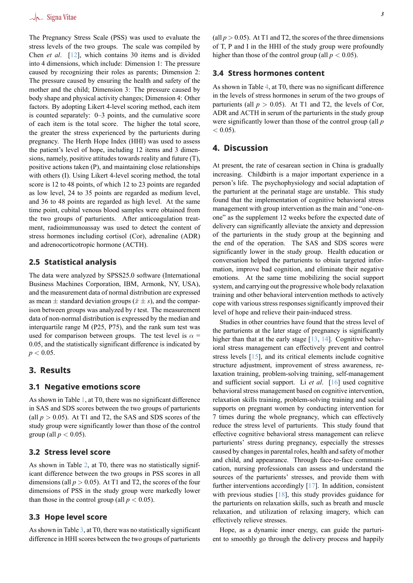The Pregnancy Stress Scale (PSS) was used to evaluate the stress levels of the two groups. The scale was compiled by Chen *et al*. [12], which contains 30 items and is divided into 4 dimensions, which include: Dimension 1: The pressure caused by recognizing their roles as parents; Dimension 2: The pressure caused by ensuring the health and safety of the mother and th[e c](#page-5-3)hild; Dimension 3: The pressure caused by body shape and physical activity changes; Dimension 4: Other factors. By adopting Likert 4-level scoring method, each item is counted separately: 0–3 points, and the cumulative score of each item is the total score. The higher the total score, the greater the stress experienced by the parturients during pregnancy. The Herth Hope Index (HHI) was used to assess the patient's level of hope, including 12 items and 3 dimensions, namely, positive attitudes towards reality and future (T), positive actions taken (P), and maintaining close relationships with others (I). Using Likert 4-level scoring method, the total score is 12 to 48 points, of which 12 to 23 points are regarded as low level, 24 to 35 points are regarded as medium level, and 36 to 48 points are regarded as high level. At the same time point, cubital venous blood samples were obtained from the two groups of parturients. After anticoagulation treatment, radioimmunoassay was used to detect the content of stress hormones including cortisol (Cor), adrenaline (ADR) and adrenocorticotropic hormone (ACTH).

### **2.5 Statistical analysis**

The data were analyzed by SPSS25.0 software (International Business Machines Corporation, IBM, Armonk, NY, USA), and the measurement data of normal distribution are expressed as mean  $\pm$  standard deviation groups ( $\bar{x} \pm s$ ), and the comparison between groups was analyzed by *t* test. The measurement data of non-normal distribution is expressed by the median and interquartile range M (P25, P75), and the rank sum test was used for comparison between groups. The test level is  $\alpha$  = 0.05, and the statistically significant difference is indicated by  $p < 0.05$ .

# **3. Results**

#### **3.1 Negative emotions score**

As shown in Table 1, at T0, there was no significant difference in SAS and SDS scores between the two groups of parturients (all  $p > 0.05$ ). At T1 and T2, the SAS and SDS scores of the study group were significantly lower than those of the control group (all  $p < 0.05$ ).

### **3.2 Stress level score**

As shown in Table 2, at T0, there was no statistically significant difference between the two groups in PSS scores in all dimensions (all  $p > 0.05$ ). At T1 and T2, the scores of the four dimensions of PSS in the study group were markedly lower than those in the co[nt](#page-3-1)rol group (all  $p < 0.05$ ).

#### **3.3 Hope level score**

As shown in Table 3, at T0, there was no statistically significant difference in HHI scores between the two groups of parturients (all  $p > 0.05$ ). At T1 and T2, the scores of the three dimensions of T, P and I in the HHI of the study group were profoundly higher than those of the control group (all  $p < 0.05$ ).

#### **3.4 Stress hormones content**

As shown in Table 4, at T0, there was no significant difference in the levels of stress hormones in serum of the two groups of parturients (all  $p > 0.05$ ). At T1 and T2, the levels of Cor, ADR and ACTH in serum of the parturients in the study group were significantly [lo](#page-4-6)wer than those of the control group (all *p*  $< 0.05$ ).

# **4. Discussion**

At present, the rate of cesarean section in China is gradually increasing. Childbirth is a major important experience in a person's life. The psychophysiology and social adaptation of the parturient at the perinatal stage are unstable. This study found that the implementation of cognitive behavioral stress management with group intervention as the main and "one-onone" as the supplement 12 weeks before the expected date of delivery can significantly alleviate the anxiety and depression of the parturients in the study group at the beginning and the end of the operation. The SAS and SDS scores were significantly lower in the study group. Health education or conversation helped the parturients to obtain targeted information, improve bad cognition, and eliminate their negative emotions. At the same time mobilizing the social support system, and carrying out the progressive whole body relaxation training and other behavioral intervention methods to actively cope with various stress responses significantly improved their level of hope and relieve their pain-induced stress.

Studies in other countries have found that the stress level of the parturients at the later stage of pregnancy is significantly higher than that at the early stage  $[13, 14]$ . Cognitive behavioral stress management can effectively prevent and control stress levels [15], and its critical elements include cognitive structure adjustment, improvement of stress awareness, relaxation training, problem-solving [tra](#page-5-4)i[nin](#page-5-5)g, self-management and sufficient social support. Li *et al*. [16] used cognitive behavioral str[ess](#page-5-6) management based on cognitive intervention, relaxation skills training, problem-solving training and social supports on pregnant women by conducting intervention for 7 times during the whole pregnancy, wh[ich](#page-5-7) can effectively reduce the stress level of parturients. This study found that effective cognitive behavioral stress management can relieve parturients' stress during pregnancy, especially the stresses caused by changes in parental roles, health and safety of mother and child, and appearance. Through face-to-face communication, nursing professionals can assess and understand the sources of the parturients' stresses, and provide them with further interventions accordingly [17]. In addition, consistent with previous studies [18], this study provides guidance for the parturients on relaxation skills, such as breath and muscle relaxation, and utilization of relaxing imagery, which can effectively relieve stresses.

Hope, as a dynamic [in](#page-5-8)ner energy, can guide the parturient to smoothly go through the delivery process and happily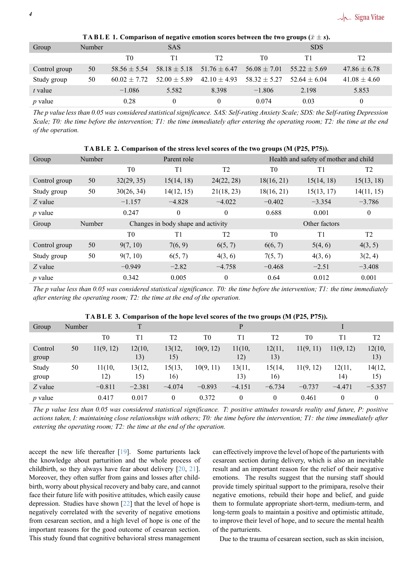<span id="page-3-0"></span>

| Group         | Number |                  | <b>SAS</b>       |                  | <b>SDS</b>       |                  |                  |  |
|---------------|--------|------------------|------------------|------------------|------------------|------------------|------------------|--|
|               |        | T0               | Τ1               | T <sub>2</sub>   | T0               | T1               | T <sub>2</sub>   |  |
| Control group | 50     | $58.56 \pm 5.54$ | $58.18 \pm 5.18$ | $51.76 \pm 6.47$ | $56.08 \pm 7.01$ | $55.22 \pm 5.69$ | $47.86 \pm 6.78$ |  |
| Study group   | 50     | $60.02 \pm 7.72$ | $52.00 \pm 5.89$ | $42.10 \pm 4.93$ | $58.32 + 5.27$   | $52.64 \pm 6.04$ | $41.08 \pm 4.60$ |  |
| t value       |        | $-1.086$         | 5.582            | 8.398            | $-1.806$         | 2.198            | 5.853            |  |
| $p$ value     |        | 0.28             | $\Omega$         |                  | 0.074            | 0.03             | $\theta$         |  |

<code>TABLE 1. Comparison of negative emotion scores between the two groups ( $\bar{x} \pm s$ ).</code>

*The p value less than 0.05 was considered statistical significance. SAS: Self-rating Anxiety Scale; SDS: the Self-rating Depression Scale; T0: the time before the intervention; T1: the time immediately after entering the operating room; T2: the time at the end of the operation.*

<span id="page-3-1"></span>

| TABLE 2. Comparison of the stress level scores of the two groups (M (P25, P75)). |        |                |                                    |                |                                       |                |                  |  |  |
|----------------------------------------------------------------------------------|--------|----------------|------------------------------------|----------------|---------------------------------------|----------------|------------------|--|--|
| Group                                                                            | Number |                | Parent role                        |                | Health and safety of mother and child |                |                  |  |  |
|                                                                                  |        | T <sub>0</sub> | T1                                 | T <sub>2</sub> | T <sub>0</sub>                        | T <sub>1</sub> | T <sub>2</sub>   |  |  |
| Control group                                                                    | 50     | 32(29, 35)     | 15(14, 18)                         | 24(22, 28)     | 18(16, 21)                            | 15(14, 18)     | 15(13, 18)       |  |  |
| Study group                                                                      | 50     | 30(26, 34)     | 14(12, 15)                         | 21(18, 23)     | 18(16, 21)                            | 15(13, 17)     | 14(11, 15)       |  |  |
| Z value                                                                          |        | $-1.157$       | $-4.828$                           | $-4.022$       | $-0.402$                              | $-3.354$       | $-3.786$         |  |  |
| $p$ value                                                                        |        | 0.247          | $\theta$                           | $\theta$       | 0.688                                 | 0.001          | $\boldsymbol{0}$ |  |  |
| Group                                                                            | Number |                | Changes in body shape and activity |                | Other factors                         |                |                  |  |  |
|                                                                                  |        | T <sub>0</sub> | T1                                 | T <sub>2</sub> | T <sub>0</sub>                        | T1             | T <sub>2</sub>   |  |  |
| Control group                                                                    | 50     | 9(7, 10)       | 7(6, 9)                            | 6(5, 7)        | 6(6, 7)                               | 5(4, 6)        | 4(3, 5)          |  |  |
| Study group                                                                      | 50     | 9(7, 10)       | 6(5, 7)                            | 4(3, 6)        | 7(5, 7)                               | 4(3, 6)        | 3(2, 4)          |  |  |
| $Z$ value                                                                        |        | $-0.949$       | $-2.82$                            | $-4.758$       | $-0.468$                              | $-2.51$        | $-3.408$         |  |  |
| $p$ value                                                                        |        | 0.342          | 0.005                              | $\theta$       | 0.64                                  | 0.012          | 0.001            |  |  |

*The p value less than 0.05 was considered statistical significance. T0: the time before the intervention; T1: the time immediately after entering the operating room; T2: the time at the end of the operation.*

|                  |        | $\overline{\phantom{a}}$ |               |                |                |               |                | $\overline{\phantom{a}}$ |               |                |  |
|------------------|--------|--------------------------|---------------|----------------|----------------|---------------|----------------|--------------------------|---------------|----------------|--|
| Group            | Number |                          | $\mathsf{T}$  |                |                | P             |                |                          |               |                |  |
|                  |        | T <sub>0</sub>           | T1            | T <sub>2</sub> | T <sub>0</sub> | T1            | T <sub>2</sub> | T <sub>0</sub>           | Τ1            | T <sub>2</sub> |  |
| Control<br>group | 50     | 11(9, 12)                | 12(10,<br>13) | 13(12,<br>15)  | 10(9, 12)      | 11(10,<br>12) | 12(11,<br>13)  | 11(9, 11)                | 11(9, 12)     | 12(10,<br>13)  |  |
| Study<br>group   | 50     | 11(10,<br>12)            | 13(12,<br>15) | 15(13,<br>16)  | 10(9, 11)      | 13(11,<br>13) | 15(14,<br>16)  | 11(9, 12)                | 12(11,<br>14) | 14(12,<br>15)  |  |
| Z value          |        | $-0.811$                 | $-2.381$      | $-4.074$       | $-0.893$       | $-4.151$      | $-6.734$       | $-0.737$                 | $-4.471$      | $-5.357$       |  |
| $p$ value        |        | 0.417                    | 0.017         | 0              | 0.372          | $\theta$      | $\theta$       | 0.461                    | $\theta$      | $\mathbf{0}$   |  |

**TA B L E 3. Comparison of the hope level scores of the two groups (M (P25, P75)).**

*The p value less than 0.05 was considered statistical significance. T: positive attitudes towards reality and future, P: positive actions taken, I: maintaining close relationships with others; T0: the time before the intervention; T1: the time immediately after entering the operating room; T2: the time at the end of the operation.*

accept the new life thereafter [19]. Some parturients lack the knowledge about parturition and the whole process of childbirth, so they always have fear about delivery [20, 21]. Moreover, they often suffer from gains and losses after childbirth, worry about physical recov[ery](#page-5-9) and baby care, and cannot face their future life with positive attitudes, which easily cause depression. Studies have shown [22] that the level of [ho](#page-5-10)[pe i](#page-5-11)s negatively correlated with the severity of negative emotions from cesarean section, and a high level of hope is one of the important reasons for the good outcome of cesarean section. This study found that cognitive b[eha](#page-5-12)vioral stress management can effectively improve the level of hope of the parturients with cesarean section during delivery, which is also an inevitable result and an important reason for the relief of their negative emotions. The results suggest that the nursing staff should provide timely spiritual support to the primipara, resolve their negative emotions, rebuild their hope and belief, and guide them to formulate appropriate short-term, medium-term, and long-term goals to maintain a positive and optimistic attitude, to improve their level of hope, and to secure the mental health of the parturients.

Due to the trauma of cesarean section, such as skin incision,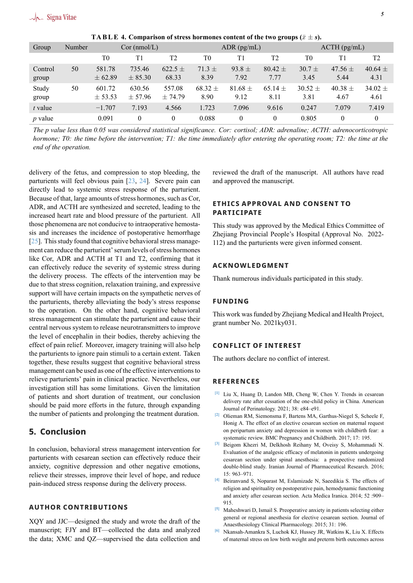<span id="page-4-6"></span>

| Group            | Number | $Cor$ (nmol/L)        |                       |                       | $ADR$ (pg/mL)       |                     |                     | $\angle$ ACTH (pg/mL) |                     |                     |
|------------------|--------|-----------------------|-----------------------|-----------------------|---------------------|---------------------|---------------------|-----------------------|---------------------|---------------------|
|                  |        | T <sub>0</sub>        | T1                    | T <sub>2</sub>        | T <sub>0</sub>      | T1                  | T <sub>2</sub>      | T0                    |                     | T <sub>2</sub>      |
| Control<br>group | 50     | 581.78<br>$\pm 62.89$ | 735.46<br>$\pm$ 85.30 | $622.5 \pm$<br>68.33  | $71.3 +$<br>8.39    | $93.8 \pm$<br>7.92  | $80.42 \pm$<br>7.77 | $30.7 \pm$<br>3.45    | 47.56 $\pm$<br>5.44 | 40.64 $\pm$<br>4.31 |
| Study<br>group   | 50     | 601.72<br>$\pm$ 53.53 | 630.56<br>$\pm$ 57.96 | 557.08<br>$\pm 74.79$ | $68.32 \pm$<br>8.90 | $81.68 \pm$<br>9.12 | $65.14 \pm$<br>8.11 | $30.52 \pm$<br>3.81   | 40.38 $\pm$<br>4.67 | $34.02 \pm$<br>4.61 |
| $t$ value        |        | $-1.707$              | 7.193                 | 4.566                 | 1.723               | 7.096               | 9.616               | 0.247                 | 7.079               | 7.419               |
| $p$ value        |        | 0.091                 | $\theta$              | $\theta$              | 0.088               | $\theta$            | $\theta$            | 0.805                 | $\theta$            | $\theta$            |

**TABLE 4. Comparison of stress hormones content of the two groups**  $(\bar{x} \pm s)$ **.** 

*The p value less than 0.05 was considered statistical significance. Cor: cortisol; ADR: adrenaline; ACTH: adrenocorticotropic hormone; T0: the time before the intervention; T1: the time immediately after entering the operating room; T2: the time at the end of the operation.*

delivery of the fetus, and compression to stop bleeding, the parturients will feel obvious pain [23, 24]. Severe pain can directly lead to systemic stress response of the parturient. Because of that, large amounts of stress hormones, such as Cor, ADR, and ACTH are synthesized and secreted, leading to the increased heart rate and blood pres[sur](#page-5-13)e [of](#page-5-14) the parturient. All those phenomena are not conducive to intraoperative hemostasis and increases the incidence of postoperative hemorrhage [25]. This study found that cognitive behavioral stress management can reduce the parturient' serum levels of stress hormones like Cor, ADR and ACTH at T1 and T2, confirming that it can effectively reduce the severity of systemic stress during t[he](#page-5-15) delivery process. The effects of the intervention may be due to that stress cognition, relaxation training, and expressive support will have certain impacts on the sympathetic nerves of the parturients, thereby alleviating the body's stress response to the operation. On the other hand, cognitive behavioral stress management can stimulate the parturient and cause their central nervous system to release neurotransmitters to improve the level of encephalin in their bodies, thereby achieving the effect of pain relief. Moreover, imagery training will also help the parturients to ignore pain stimuli to a certain extent. Taken together, these results suggest that cognitive behavioral stress management can be used as one of the effective interventions to relieve parturients' pain in clinical practice. Nevertheless, our investigation still has some limitations. Given the limitation of patients and short duration of treatment, our conclusion should be paid more efforts in the future, through expanding the number of patients and prolonging the treatment duration.

# **5. Conclusion**

In conclusion, behavioral stress management intervention for parturients with cesarean section can effectively reduce their anxiety, cognitive depression and other negative emotions, relieve their stresses, improve their level of hope, and reduce pain-induced stress response during the delivery process.

#### **AUTHOR CONTRIBUTIONS**

XQY and JJC—designed the study and wrote the draft of the manuscript; FJY and BT—collected the data and analyzed the data; XMC and QZ—supervised the data collection and reviewed the draft of the manuscript. All authors have read and approved the manuscript.

# **ETHICS APPROVAL AND CONSENT TO PARTICIPATE**

This study was approved by the Medical Ethics Committee of Zhejiang Provincial People's Hospital (Approval No. 2022- 112) and the parturients were given informed consent.

#### **ACKNOWLEDGMENT**

Thank numerous individuals participated in this study.

#### **FUNDING**

This work was funded by Zhejiang Medical and Health Project, grant number No. 2021ky031.

#### **CONFLICT OF INTEREST**

The authors declare no conflict of interest.

#### **REFERENCES**

- **[1]** Liu X, Huang D, Landon MB, Cheng W, Chen Y. Trends in cesarean delivery rate after cessation of the one-child policy in China. American Journal of Perinatology. 2021; 38: e84–e91.
- <span id="page-4-0"></span>**[2]** Olieman RM, Siemonsma F, Bartens MA, Garthus-Niegel S, Scheele F, Honig A. The effect of an elective cesarean section on maternal request on peripartum anxiety and depression in women with childbirth fear: a systematic review. BMC Pregnancy and Childbirth. 2017; 17: 195.
- <span id="page-4-1"></span>**[3]** Beigom Khezri M, Delkhosh Reihany M, Oveisy S, Mohammadi N. Evaluation of the analgesic efficacy of melatonin in patients undergoing cesarean section under spinal anesthesia: a prospective randomized double-blind study. Iranian Journal of Pharmaceutical Research. 2016; 15: 963–971.
- <span id="page-4-2"></span>**[4]** Beiranvand S, Noparast M, Eslamizade N, Saeedikia S. The effects of religion and spirituality on postoperative pain, hemodynamic functioning and anxiety after cesarean section. Acta Medica Iranica. 2014; 52 :909– 915.
- <span id="page-4-3"></span>**[5]** Maheshwari D, Ismail S. Preoperative anxiety in patients selecting either general or regional anesthesia for elective cesarean section. Journal of Anaesthesiology Clinical Pharmacology. 2015; 31: 196.
- <span id="page-4-5"></span><span id="page-4-4"></span>**[6]** Nkansah-Amankra S, Luchok KJ, Hussey JR, Watkins K, Liu X. Effects of maternal stress on low birth weight and preterm birth outcomes across